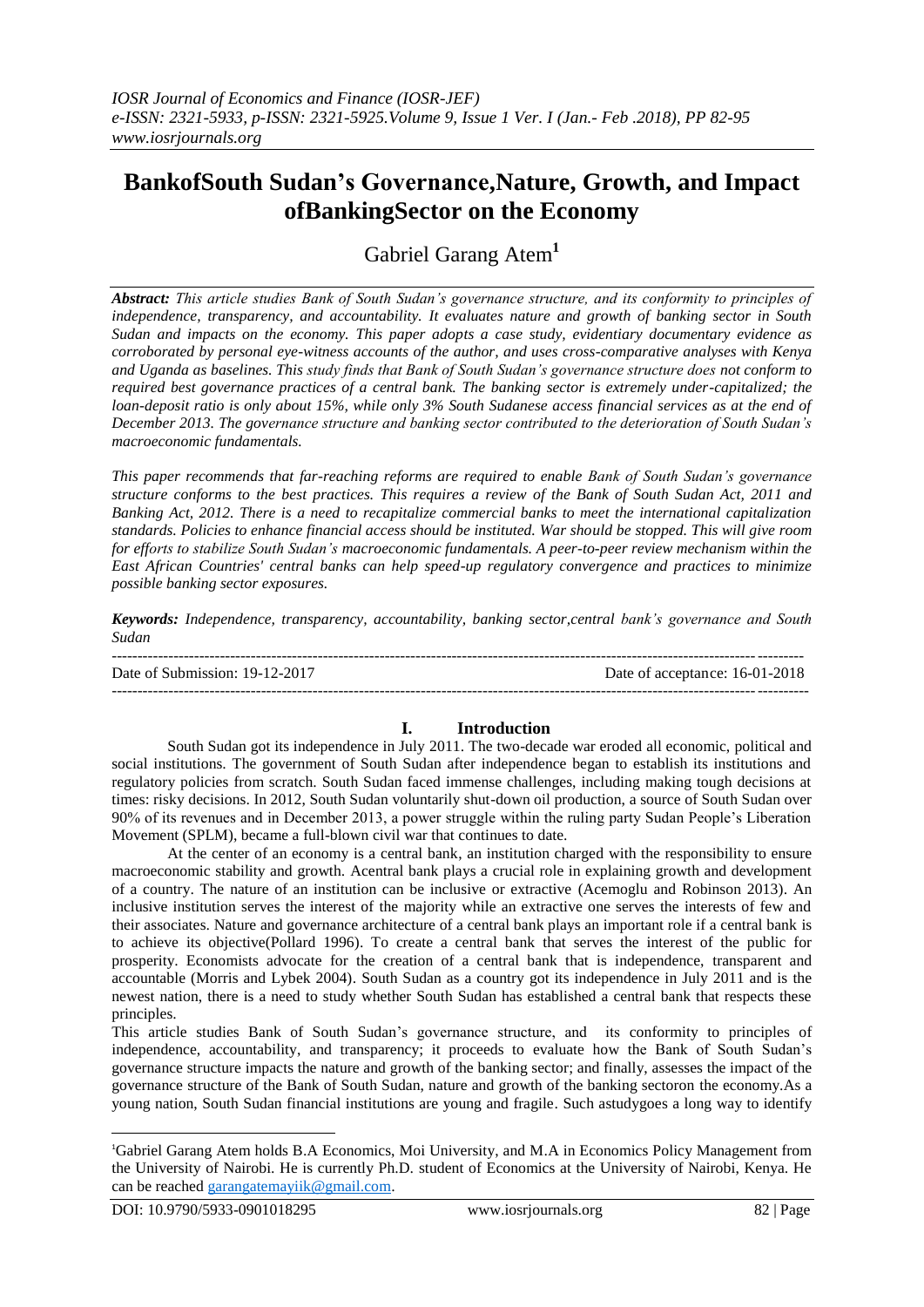# **BankofSouth Sudan's Governance,Nature, Growth, and Impact ofBankingSector on the Economy**

Gabriel Garang Atem**<sup>1</sup>**

*Abstract: This article studies Bank of South Sudan's governance structure, and its conformity to principles of independence, transparency, and accountability. It evaluates nature and growth of banking sector in South Sudan and impacts on the economy. This paper adopts a case study, evidentiary documentary evidence as corroborated by personal eye-witness accounts of the author, and uses cross-comparative analyses with Kenya and Uganda as baselines. This study finds that Bank of South Sudan's governance structure does not conform to required best governance practices of a central bank. The banking sector is extremely under-capitalized; the loan-deposit ratio is only about 15%, while only 3% South Sudanese access financial services as at the end of December 2013. The governance structure and banking sector contributed to the deterioration of South Sudan's macroeconomic fundamentals.*

*This paper recommends that far-reaching reforms are required to enable Bank of South Sudan's governance structure conforms to the best practices. This requires a review of the Bank of South Sudan Act, 2011 and Banking Act, 2012. There is a need to recapitalize commercial banks to meet the international capitalization standards. Policies to enhance financial access should be instituted. War should be stopped. This will give room for efforts to stabilize South Sudan's macroeconomic fundamentals. A peer-to-peer review mechanism within the East African Countries' central banks can help speed-up regulatory convergence and practices to minimize possible banking sector exposures.*

*Keywords: Independence, transparency, accountability, banking sector,central bank's governance and South Sudan*

| Date of Submission: 19-12-2017 | Date of acceptance: 16-01-2018 |
|--------------------------------|--------------------------------|
|                                |                                |

## **I. Introduction**

South Sudan got its independence in July 2011. The two-decade war eroded all economic, political and social institutions. The government of South Sudan after independence began to establish its institutions and regulatory policies from scratch. South Sudan faced immense challenges, including making tough decisions at times: risky decisions. In 2012, South Sudan voluntarily shut-down oil production, a source of South Sudan over 90% of its revenues and in December 2013, a power struggle within the ruling party Sudan People's Liberation Movement (SPLM), became a full-blown civil war that continues to date.

At the center of an economy is a central bank, an institution charged with the responsibility to ensure macroeconomic stability and growth. Acentral bank plays a crucial role in explaining growth and development of a country. The nature of an institution can be inclusive or extractive (Acemoglu and Robinson 2013). An inclusive institution serves the interest of the majority while an extractive one serves the interests of few and their associates. Nature and governance architecture of a central bank plays an important role if a central bank is to achieve its objective(Pollard 1996). To create a central bank that serves the interest of the public for prosperity. Economists advocate for the creation of a central bank that is independence, transparent and accountable (Morris and Lybek 2004). South Sudan as a country got its independence in July 2011 and is the newest nation, there is a need to study whether South Sudan has established a central bank that respects these principles.

This article studies Bank of South Sudan's governance structure, and its conformity to principles of independence, accountability, and transparency; it proceeds to evaluate how the Bank of South Sudan's governance structure impacts the nature and growth of the banking sector; and finally, assesses the impact of the governance structure of the Bank of South Sudan, nature and growth of the banking sectoron the economy.As a young nation, South Sudan financial institutions are young and fragile. Such astudygoes a long way to identify

1

<sup>1</sup>Gabriel Garang Atem holds B.A Economics, Moi University, and M.A in Economics Policy Management from the University of Nairobi. He is currently Ph.D. student of Economics at the University of Nairobi, Kenya. He can be reached [garangatemayiik@gmail.com.](mailto:garangatemayiik@gmail.com)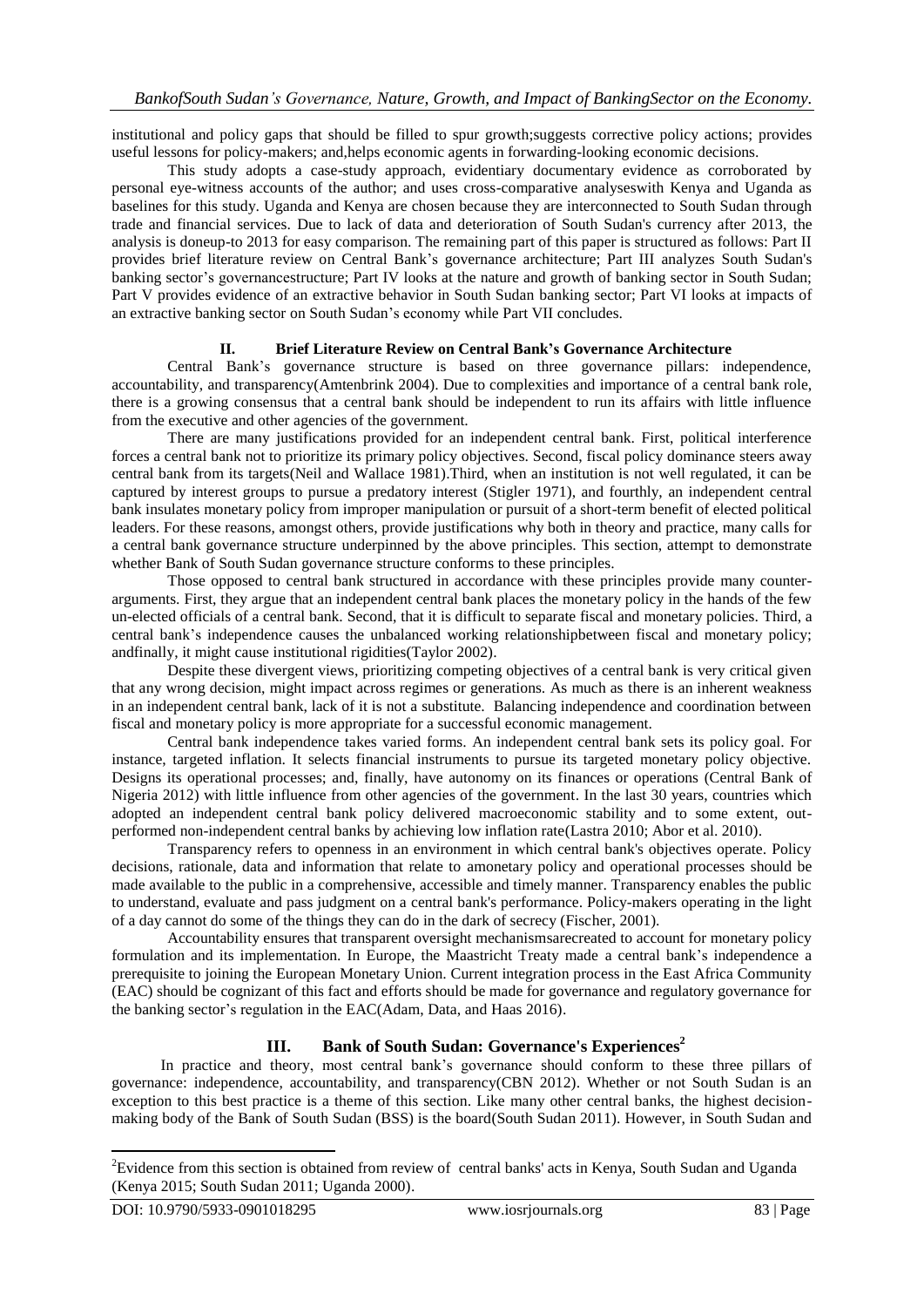institutional and policy gaps that should be filled to spur growth;suggests corrective policy actions; provides useful lessons for policy-makers; and,helps economic agents in forwarding-looking economic decisions.

This study adopts a case-study approach, evidentiary documentary evidence as corroborated by personal eye-witness accounts of the author; and uses cross-comparative analyseswith Kenya and Uganda as baselines for this study. Uganda and Kenya are chosen because they are interconnected to South Sudan through trade and financial services. Due to lack of data and deterioration of South Sudan's currency after 2013, the analysis is doneup-to 2013 for easy comparison. The remaining part of this paper is structured as follows: Part II provides brief literature review on Central Bank's governance architecture; Part III analyzes South Sudan's banking sector's governancestructure; Part IV looks at the nature and growth of banking sector in South Sudan; Part V provides evidence of an extractive behavior in South Sudan banking sector; Part VI looks at impacts of an extractive banking sector on South Sudan's economy while Part VII concludes.

#### **II. Brief Literature Review on Central Bank's Governance Architecture**

Central Bank's governance structure is based on three governance pillars: independence, accountability, and transparency(Amtenbrink 2004). Due to complexities and importance of a central bank role, there is a growing consensus that a central bank should be independent to run its affairs with little influence from the executive and other agencies of the government.

There are many justifications provided for an independent central bank. First, political interference forces a central bank not to prioritize its primary policy objectives. Second, fiscal policy dominance steers away central bank from its targets(Neil and Wallace 1981).Third, when an institution is not well regulated, it can be captured by interest groups to pursue a predatory interest (Stigler 1971), and fourthly, an independent central bank insulates monetary policy from improper manipulation or pursuit of a short-term benefit of elected political leaders. For these reasons, amongst others, provide justifications why both in theory and practice, many calls for a central bank governance structure underpinned by the above principles. This section, attempt to demonstrate whether Bank of South Sudan governance structure conforms to these principles.

Those opposed to central bank structured in accordance with these principles provide many counterarguments. First, they argue that an independent central bank places the monetary policy in the hands of the few un-elected officials of a central bank. Second, that it is difficult to separate fiscal and monetary policies. Third, a central bank's independence causes the unbalanced working relationshipbetween fiscal and monetary policy; andfinally, it might cause institutional rigidities(Taylor 2002).

Despite these divergent views, prioritizing competing objectives of a central bank is very critical given that any wrong decision, might impact across regimes or generations. As much as there is an inherent weakness in an independent central bank, lack of it is not a substitute. Balancing independence and coordination between fiscal and monetary policy is more appropriate for a successful economic management.

Central bank independence takes varied forms. An independent central bank sets its policy goal. For instance, targeted inflation. It selects financial instruments to pursue its targeted monetary policy objective. Designs its operational processes; and, finally, have autonomy on its finances or operations (Central Bank of Nigeria 2012) with little influence from other agencies of the government. In the last 30 years, countries which adopted an independent central bank policy delivered macroeconomic stability and to some extent, outperformed non-independent central banks by achieving low inflation rate(Lastra 2010; Abor et al. 2010).

Transparency refers to openness in an environment in which central bank's objectives operate. Policy decisions, rationale, data and information that relate to amonetary policy and operational processes should be made available to the public in a comprehensive, accessible and timely manner. Transparency enables the public to understand, evaluate and pass judgment on a central bank's performance. Policy-makers operating in the light of a day cannot do some of the things they can do in the dark of secrecy (Fischer, 2001).

Accountability ensures that transparent oversight mechanismsarecreated to account for monetary policy formulation and its implementation. In Europe, the Maastricht Treaty made a central bank's independence a prerequisite to joining the European Monetary Union. Current integration process in the East Africa Community (EAC) should be cognizant of this fact and efforts should be made for governance and regulatory governance for the banking sector's regulation in the EAC(Adam, Data, and Haas 2016).

## **III. Bank of South Sudan: Governance's Experiences 2**

In practice and theory, most central bank's governance should conform to these three pillars of governance: independence, accountability, and transparency(CBN 2012). Whether or not South Sudan is an exception to this best practice is a theme of this section. Like many other central banks, the highest decisionmaking body of the Bank of South Sudan (BSS) is the board(South Sudan 2011). However, in South Sudan and

**.** 

<sup>&</sup>lt;sup>2</sup>Evidence from this section is obtained from review of central banks' acts in Kenya, South Sudan and Uganda (Kenya 2015; South Sudan 2011; Uganda 2000).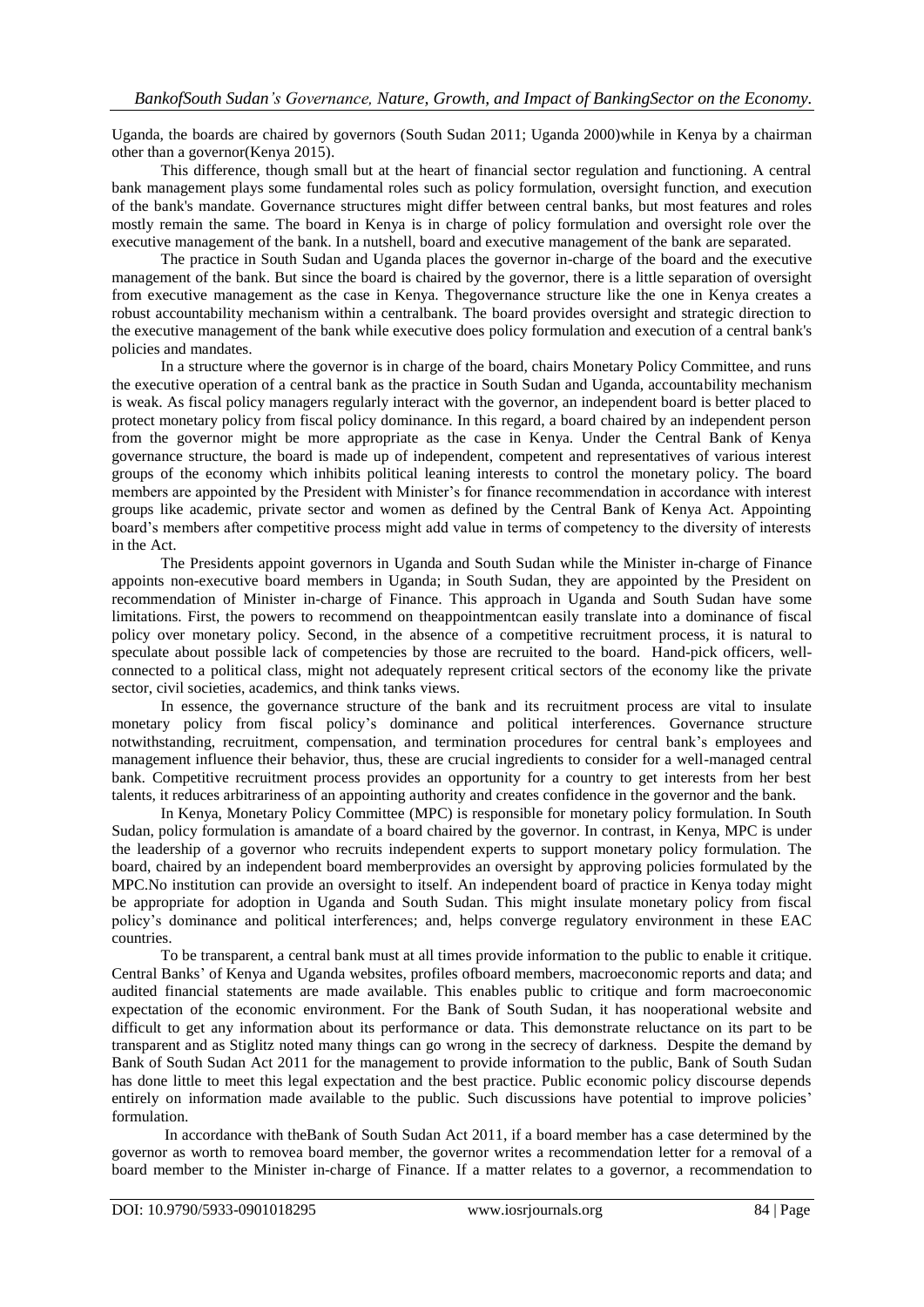Uganda, the boards are chaired by governors (South Sudan 2011; Uganda 2000)while in Kenya by a chairman other than a governor(Kenya 2015).

This difference, though small but at the heart of financial sector regulation and functioning. A central bank management plays some fundamental roles such as policy formulation, oversight function, and execution of the bank's mandate. Governance structures might differ between central banks, but most features and roles mostly remain the same. The board in Kenya is in charge of policy formulation and oversight role over the executive management of the bank. In a nutshell, board and executive management of the bank are separated.

The practice in South Sudan and Uganda places the governor in-charge of the board and the executive management of the bank. But since the board is chaired by the governor, there is a little separation of oversight from executive management as the case in Kenya. Thegovernance structure like the one in Kenya creates a robust accountability mechanism within a centralbank. The board provides oversight and strategic direction to the executive management of the bank while executive does policy formulation and execution of a central bank's policies and mandates.

In a structure where the governor is in charge of the board, chairs Monetary Policy Committee, and runs the executive operation of a central bank as the practice in South Sudan and Uganda, accountability mechanism is weak. As fiscal policy managers regularly interact with the governor, an independent board is better placed to protect monetary policy from fiscal policy dominance. In this regard, a board chaired by an independent person from the governor might be more appropriate as the case in Kenya. Under the Central Bank of Kenya governance structure, the board is made up of independent, competent and representatives of various interest groups of the economy which inhibits political leaning interests to control the monetary policy. The board members are appointed by the President with Minister's for finance recommendation in accordance with interest groups like academic, private sector and women as defined by the Central Bank of Kenya Act. Appointing board's members after competitive process might add value in terms of competency to the diversity of interests in the Act.

The Presidents appoint governors in Uganda and South Sudan while the Minister in-charge of Finance appoints non-executive board members in Uganda; in South Sudan, they are appointed by the President on recommendation of Minister in-charge of Finance. This approach in Uganda and South Sudan have some limitations. First, the powers to recommend on theappointmentcan easily translate into a dominance of fiscal policy over monetary policy. Second, in the absence of a competitive recruitment process, it is natural to speculate about possible lack of competencies by those are recruited to the board. Hand-pick officers, wellconnected to a political class, might not adequately represent critical sectors of the economy like the private sector, civil societies, academics, and think tanks views.

In essence, the governance structure of the bank and its recruitment process are vital to insulate monetary policy from fiscal policy's dominance and political interferences. Governance structure notwithstanding, recruitment, compensation, and termination procedures for central bank's employees and management influence their behavior, thus, these are crucial ingredients to consider for a well-managed central bank. Competitive recruitment process provides an opportunity for a country to get interests from her best talents, it reduces arbitrariness of an appointing authority and creates confidence in the governor and the bank.

In Kenya, Monetary Policy Committee (MPC) is responsible for monetary policy formulation. In South Sudan, policy formulation is amandate of a board chaired by the governor. In contrast, in Kenya, MPC is under the leadership of a governor who recruits independent experts to support monetary policy formulation. The board, chaired by an independent board memberprovides an oversight by approving policies formulated by the MPC.No institution can provide an oversight to itself. An independent board of practice in Kenya today might be appropriate for adoption in Uganda and South Sudan. This might insulate monetary policy from fiscal policy's dominance and political interferences; and, helps converge regulatory environment in these EAC countries.

To be transparent, a central bank must at all times provide information to the public to enable it critique. Central Banks' of Kenya and Uganda websites, profiles ofboard members, macroeconomic reports and data; and audited financial statements are made available. This enables public to critique and form macroeconomic expectation of the economic environment. For the Bank of South Sudan, it has nooperational website and difficult to get any information about its performance or data. This demonstrate reluctance on its part to be transparent and as Stiglitz noted many things can go wrong in the secrecy of darkness. Despite the demand by Bank of South Sudan Act 2011 for the management to provide information to the public, Bank of South Sudan has done little to meet this legal expectation and the best practice. Public economic policy discourse depends entirely on information made available to the public. Such discussions have potential to improve policies' formulation.

In accordance with theBank of South Sudan Act 2011, if a board member has a case determined by the governor as worth to removea board member, the governor writes a recommendation letter for a removal of a board member to the Minister in-charge of Finance. If a matter relates to a governor, a recommendation to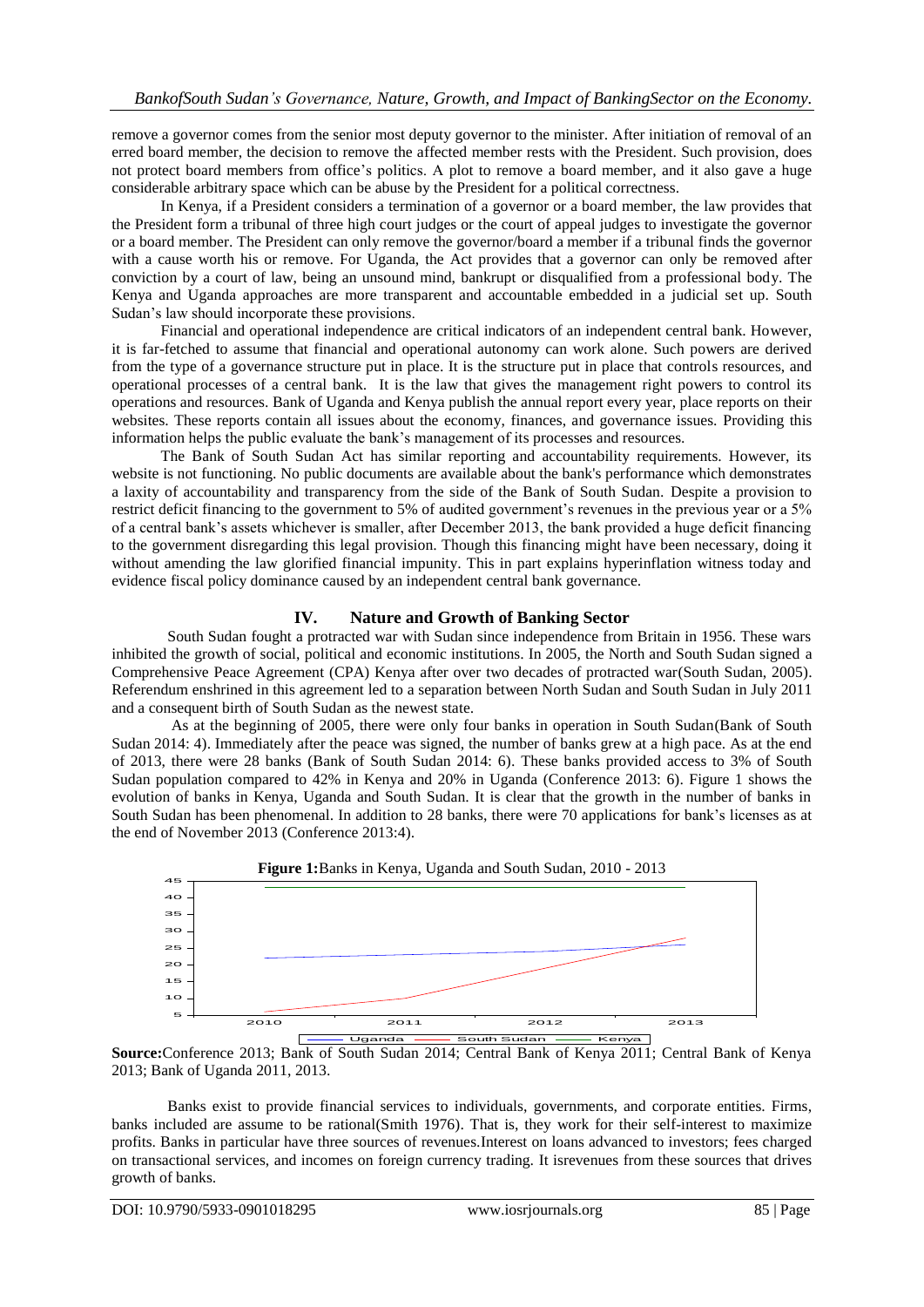remove a governor comes from the senior most deputy governor to the minister. After initiation of removal of an erred board member, the decision to remove the affected member rests with the President. Such provision, does not protect board members from office's politics. A plot to remove a board member, and it also gave a huge considerable arbitrary space which can be abuse by the President for a political correctness.

In Kenya, if a President considers a termination of a governor or a board member, the law provides that the President form a tribunal of three high court judges or the court of appeal judges to investigate the governor or a board member. The President can only remove the governor/board a member if a tribunal finds the governor with a cause worth his or remove. For Uganda, the Act provides that a governor can only be removed after conviction by a court of law, being an unsound mind, bankrupt or disqualified from a professional body. The Kenya and Uganda approaches are more transparent and accountable embedded in a judicial set up. South Sudan's law should incorporate these provisions.

Financial and operational independence are critical indicators of an independent central bank. However, it is far-fetched to assume that financial and operational autonomy can work alone. Such powers are derived from the type of a governance structure put in place. It is the structure put in place that controls resources, and operational processes of a central bank. It is the law that gives the management right powers to control its operations and resources. Bank of Uganda and Kenya publish the annual report every year, place reports on their websites. These reports contain all issues about the economy, finances, and governance issues. Providing this information helps the public evaluate the bank's management of its processes and resources.

The Bank of South Sudan Act has similar reporting and accountability requirements. However, its website is not functioning. No public documents are available about the bank's performance which demonstrates a laxity of accountability and transparency from the side of the Bank of South Sudan. Despite a provision to restrict deficit financing to the government to 5% of audited government's revenues in the previous year or a 5% of a central bank's assets whichever is smaller, after December 2013, the bank provided a huge deficit financing to the government disregarding this legal provision. Though this financing might have been necessary, doing it without amending the law glorified financial impunity. This in part explains hyperinflation witness today and evidence fiscal policy dominance caused by an independent central bank governance.

### **IV. Nature and Growth of Banking Sector**

South Sudan fought a protracted war with Sudan since independence from Britain in 1956. These wars inhibited the growth of social, political and economic institutions. In 2005, the North and South Sudan signed a Comprehensive Peace Agreement (CPA) Kenya after over two decades of protracted war(South Sudan, 2005). Referendum enshrined in this agreement led to a separation between North Sudan and South Sudan in July 2011 and a consequent birth of South Sudan as the newest state.

As at the beginning of 2005, there were only four banks in operation in South Sudan(Bank of South Sudan 2014: 4). Immediately after the peace was signed, the number of banks grew at a high pace. As at the end of 2013, there were 28 banks (Bank of South Sudan 2014: 6). These banks provided access to 3% of South Sudan population compared to 42% in Kenya and 20% in Uganda (Conference 2013: 6). Figure 1 shows the evolution of banks in Kenya, Uganda and South Sudan. It is clear that the growth in the number of banks in South Sudan has been phenomenal. In addition to 28 banks, there were 70 applications for bank's licenses as at the end of November 2013 (Conference 2013:4).



**Source:**Conference 2013; Bank of South Sudan 2014; Central Bank of Kenya 2011; Central Bank of Kenya 2013; Bank of Uganda 2011, 2013.

Banks exist to provide financial services to individuals, governments, and corporate entities. Firms, banks included are assume to be rational(Smith 1976). That is, they work for their self-interest to maximize profits. Banks in particular have three sources of revenues.Interest on loans advanced to investors; fees charged on transactional services, and incomes on foreign currency trading. It isrevenues from these sources that drives growth of banks.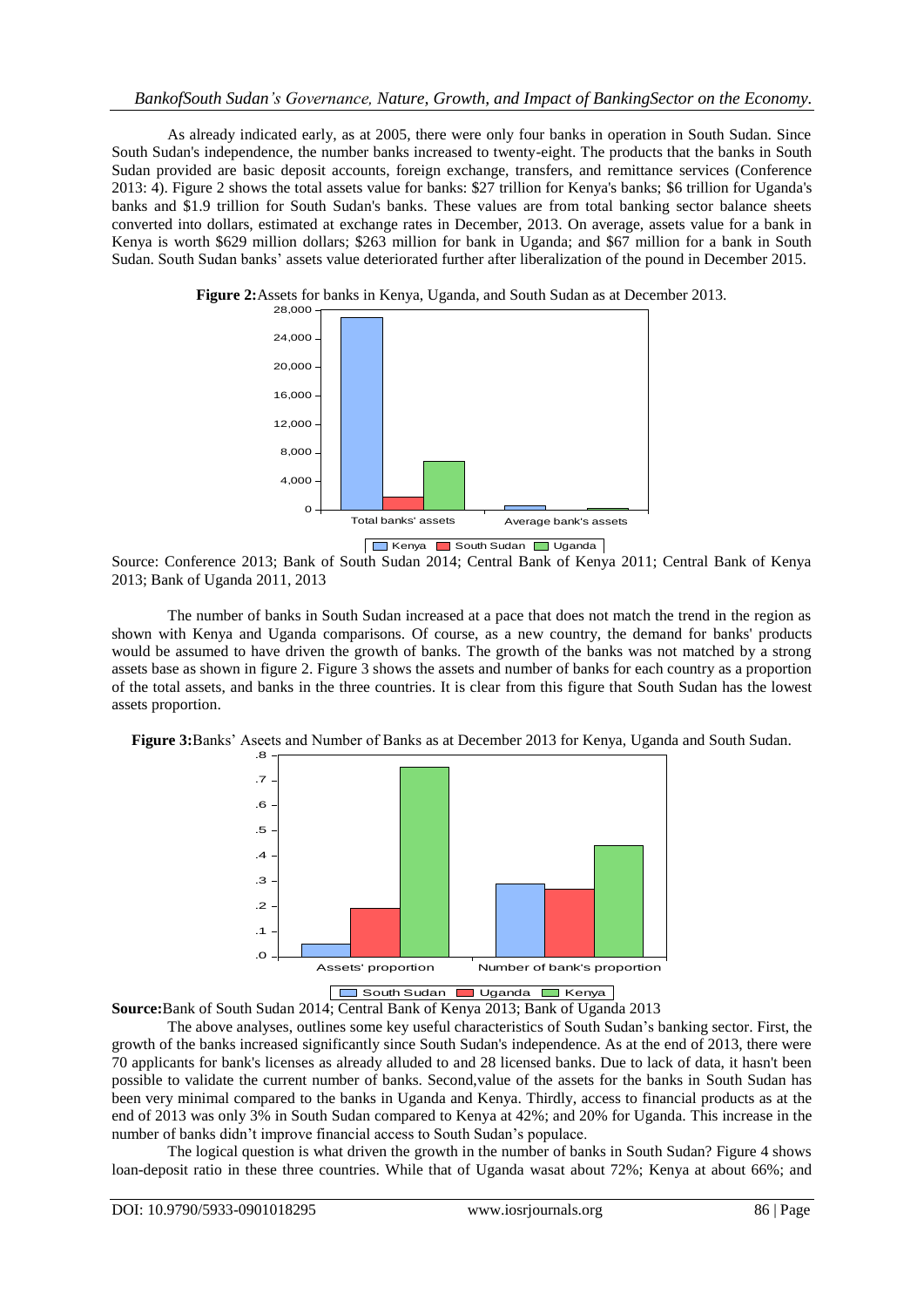#### *BankofSouth Sudan's Governance, Nature, Growth, and Impact of BankingSector on the Economy.*

As already indicated early, as at 2005, there were only four banks in operation in South Sudan. Since South Sudan's independence, the number banks increased to twenty-eight. The products that the banks in South Sudan provided are basic deposit accounts, foreign exchange, transfers, and remittance services (Conference 2013: 4). Figure 2 shows the total assets value for banks: \$27 trillion for Kenya's banks; \$6 trillion for Uganda's banks and \$1.9 trillion for South Sudan's banks. These values are from total banking sector balance sheets converted into dollars, estimated at exchange rates in December, 2013. On average, assets value for a bank in Kenya is worth \$629 million dollars; \$263 million for bank in Uganda; and \$67 million for a bank in South Sudan. South Sudan banks' assets value deteriorated further after liberalization of the pound in December 2015.



**Figure 2:**Assets for banks in Kenya, Uganda, and South Sudan as at December 2013.

Source: Conference 2013; Bank of South Sudan 2014; Central Bank of Kenya 2011; Central Bank of Kenya 2013; Bank of Uganda 2011, 2013

The number of banks in South Sudan increased at a pace that does not match the trend in the region as shown with Kenya and Uganda comparisons. Of course, as a new country, the demand for banks' products would be assumed to have driven the growth of banks. The growth of the banks was not matched by a strong assets base as shown in figure 2. Figure 3 shows the assets and number of banks for each country as a proportion of the total assets, and banks in the three countries. It is clear from this figure that South Sudan has the lowest assets proportion.





South Sudan Uganda Kenya **Source:**Bank of South Sudan 2014; Central Bank of Kenya 2013; Bank of Uganda 2013

The above analyses, outlines some key useful characteristics of South Sudan's banking sector. First, the growth of the banks increased significantly since South Sudan's independence. As at the end of 2013, there were 70 applicants for bank's licenses as already alluded to and 28 licensed banks. Due to lack of data, it hasn't been possible to validate the current number of banks. Second,value of the assets for the banks in South Sudan has been very minimal compared to the banks in Uganda and Kenya. Thirdly, access to financial products as at the end of 2013 was only 3% in South Sudan compared to Kenya at 42%; and 20% for Uganda. This increase in the number of banks didn't improve financial access to South Sudan's populace.

The logical question is what driven the growth in the number of banks in South Sudan? Figure 4 shows loan-deposit ratio in these three countries. While that of Uganda wasat about 72%; Kenya at about 66%; and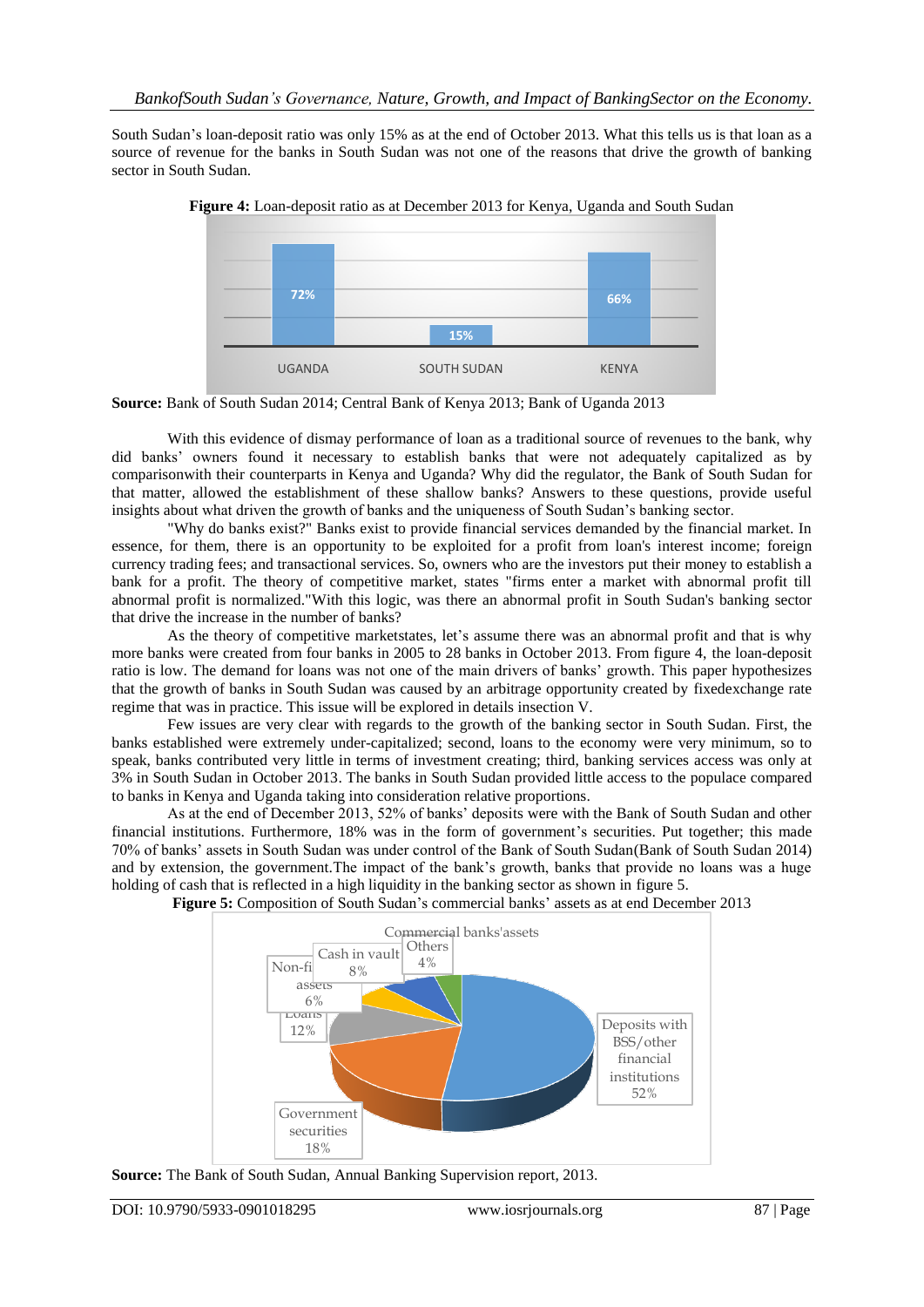South Sudan's loan-deposit ratio was only 15% as at the end of October 2013. What this tells us is that loan as a source of revenue for the banks in South Sudan was not one of the reasons that drive the growth of banking sector in South Sudan.



**Figure 4:** Loan-deposit ratio as at December 2013 for Kenya, Uganda and South Sudan

**Source:** Bank of South Sudan 2014; Central Bank of Kenya 2013; Bank of Uganda 2013

With this evidence of dismay performance of loan as a traditional source of revenues to the bank, why did banks' owners found it necessary to establish banks that were not adequately capitalized as by comparisonwith their counterparts in Kenya and Uganda? Why did the regulator, the Bank of South Sudan for that matter, allowed the establishment of these shallow banks? Answers to these questions, provide useful insights about what driven the growth of banks and the uniqueness of South Sudan's banking sector.

"Why do banks exist?" Banks exist to provide financial services demanded by the financial market. In essence, for them, there is an opportunity to be exploited for a profit from loan's interest income; foreign currency trading fees; and transactional services. So, owners who are the investors put their money to establish a bank for a profit. The theory of competitive market, states "firms enter a market with abnormal profit till abnormal profit is normalized."With this logic, was there an abnormal profit in South Sudan's banking sector that drive the increase in the number of banks?

As the theory of competitive marketstates, let's assume there was an abnormal profit and that is why more banks were created from four banks in 2005 to 28 banks in October 2013. From figure 4, the loan-deposit ratio is low. The demand for loans was not one of the main drivers of banks' growth. This paper hypothesizes that the growth of banks in South Sudan was caused by an arbitrage opportunity created by fixedexchange rate regime that was in practice. This issue will be explored in details insection V.

Few issues are very clear with regards to the growth of the banking sector in South Sudan. First, the banks established were extremely under-capitalized; second, loans to the economy were very minimum, so to speak, banks contributed very little in terms of investment creating; third, banking services access was only at 3% in South Sudan in October 2013. The banks in South Sudan provided little access to the populace compared to banks in Kenya and Uganda taking into consideration relative proportions.

As at the end of December 2013, 52% of banks' deposits were with the Bank of South Sudan and other financial institutions. Furthermore, 18% was in the form of government's securities. Put together; this made 70% of banks' assets in South Sudan was under control of the Bank of South Sudan(Bank of South Sudan 2014) and by extension, the government.The impact of the bank's growth, banks that provide no loans was a huge holding of cash that is reflected in a high liquidity in the banking sector as shown in figure 5.

**Figure 5:** Composition of South Sudan's commercial banks' assets as at end December 2013



**Source:** The Bank of South Sudan, Annual Banking Supervision report, 2013.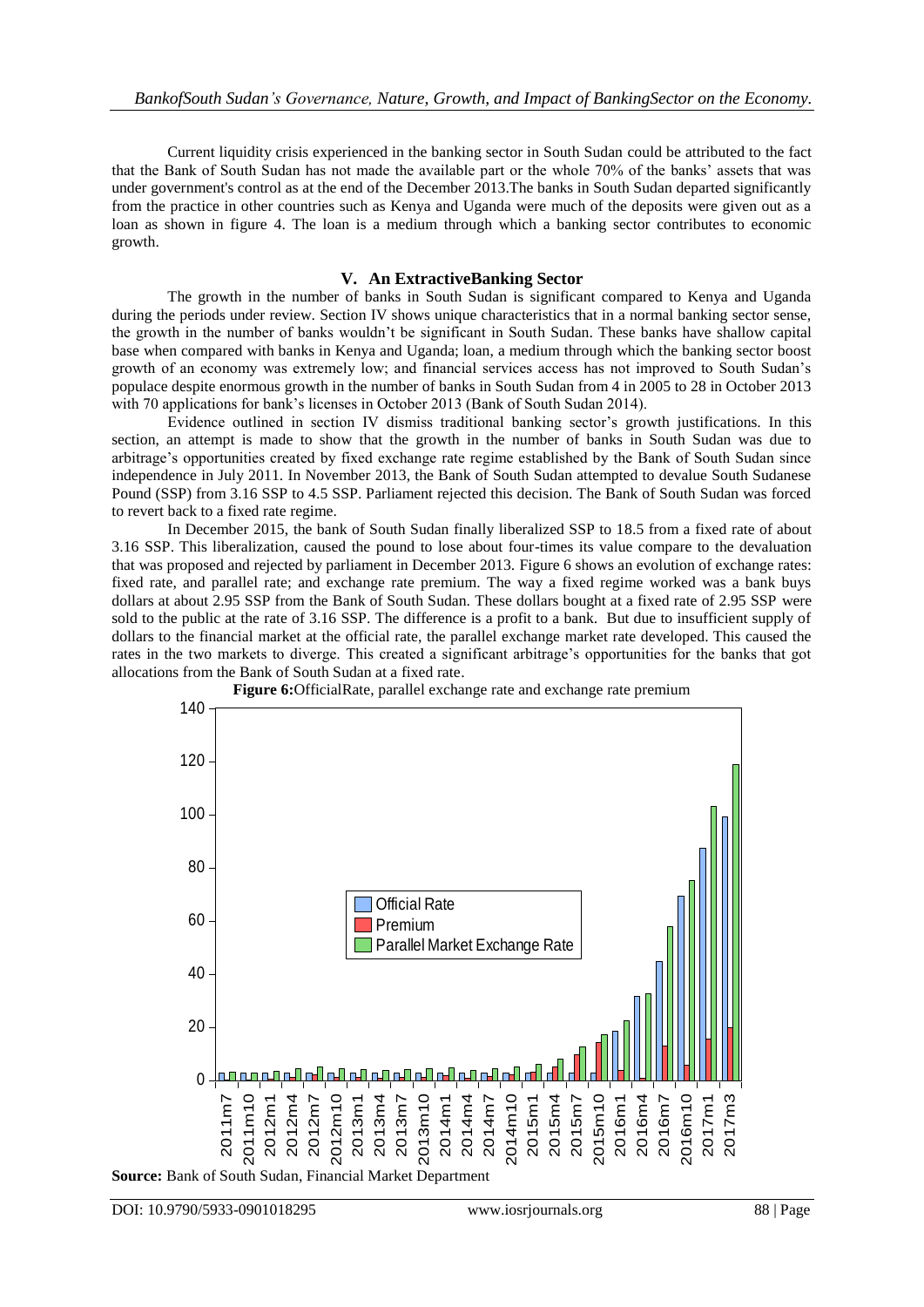Current liquidity crisis experienced in the banking sector in South Sudan could be attributed to the fact that the Bank of South Sudan has not made the available part or the whole 70% of the banks' assets that was under government's control as at the end of the December 2013.The banks in South Sudan departed significantly from the practice in other countries such as Kenya and Uganda were much of the deposits were given out as a loan as shown in figure 4. The loan is a medium through which a banking sector contributes to economic growth.

#### **V. An ExtractiveBanking Sector**

The growth in the number of banks in South Sudan is significant compared to Kenya and Uganda during the periods under review. Section IV shows unique characteristics that in a normal banking sector sense, the growth in the number of banks wouldn't be significant in South Sudan. These banks have shallow capital base when compared with banks in Kenya and Uganda; loan, a medium through which the banking sector boost growth of an economy was extremely low; and financial services access has not improved to South Sudan's populace despite enormous growth in the number of banks in South Sudan from 4 in 2005 to 28 in October 2013 with 70 applications for bank's licenses in October 2013 (Bank of South Sudan 2014).

Evidence outlined in section IV dismiss traditional banking sector's growth justifications. In this section, an attempt is made to show that the growth in the number of banks in South Sudan was due to arbitrage's opportunities created by fixed exchange rate regime established by the Bank of South Sudan since independence in July 2011. In November 2013, the Bank of South Sudan attempted to devalue South Sudanese Pound (SSP) from 3.16 SSP to 4.5 SSP. Parliament rejected this decision. The Bank of South Sudan was forced to revert back to a fixed rate regime.

In December 2015, the bank of South Sudan finally liberalized SSP to 18.5 from a fixed rate of about 3.16 SSP. This liberalization, caused the pound to lose about four-times its value compare to the devaluation that was proposed and rejected by parliament in December 2013. Figure 6 shows an evolution of exchange rates: fixed rate, and parallel rate; and exchange rate premium. The way a fixed regime worked was a bank buys dollars at about 2.95 SSP from the Bank of South Sudan. These dollars bought at a fixed rate of 2.95 SSP were sold to the public at the rate of 3.16 SSP. The difference is a profit to a bank. But due to insufficient supply of dollars to the financial market at the official rate, the parallel exchange market rate developed. This caused the rates in the two markets to diverge. This created a significant arbitrage's opportunities for the banks that got allocations from the Bank of South Sudan at a fixed rate.



**Source:** Bank of South Sudan, Financial Market Department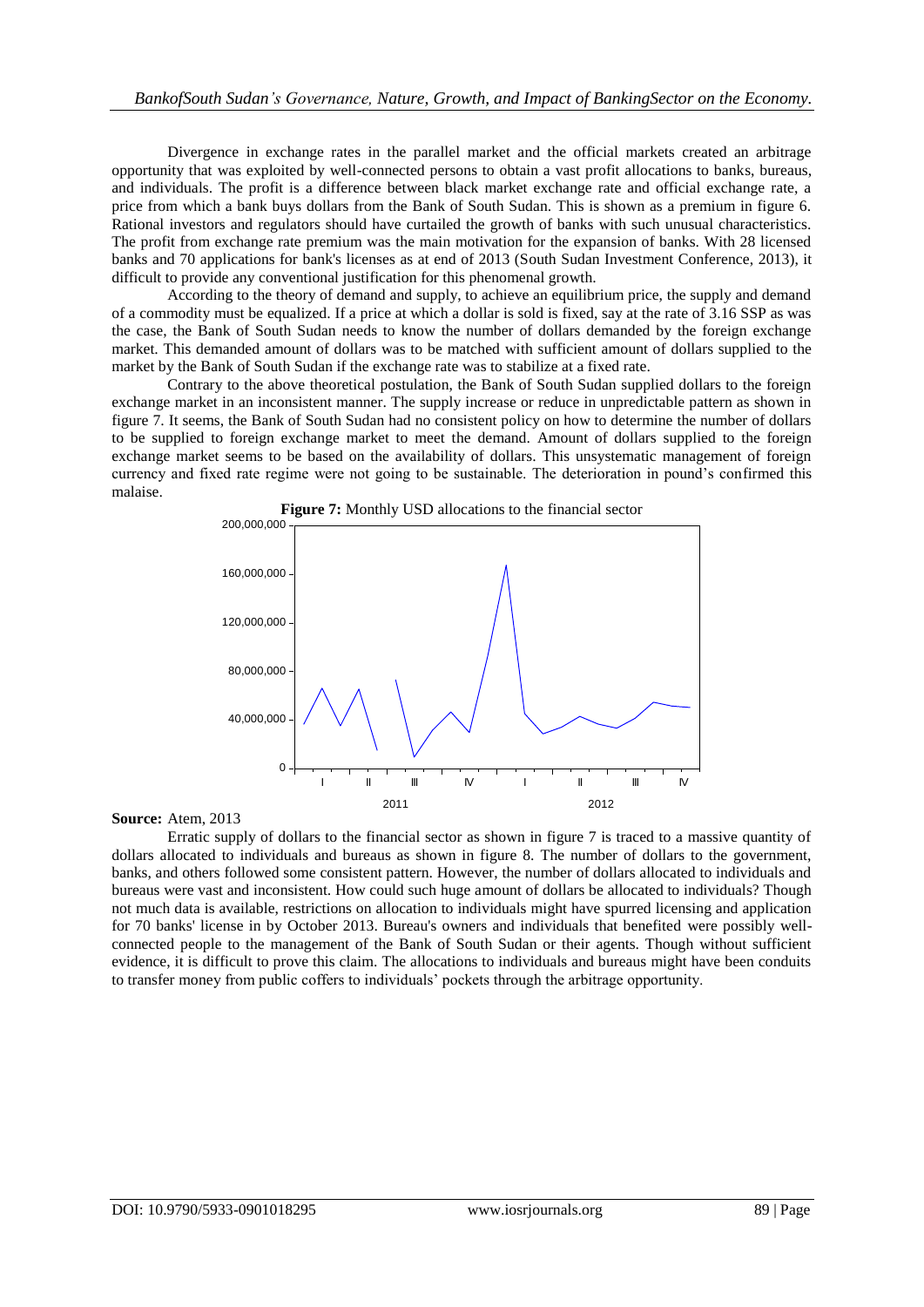Divergence in exchange rates in the parallel market and the official markets created an arbitrage opportunity that was exploited by well-connected persons to obtain a vast profit allocations to banks, bureaus, and individuals. The profit is a difference between black market exchange rate and official exchange rate, a price from which a bank buys dollars from the Bank of South Sudan. This is shown as a premium in figure 6. Rational investors and regulators should have curtailed the growth of banks with such unusual characteristics. The profit from exchange rate premium was the main motivation for the expansion of banks. With 28 licensed banks and 70 applications for bank's licenses as at end of 2013 (South Sudan Investment Conference, 2013), it difficult to provide any conventional justification for this phenomenal growth.

According to the theory of demand and supply, to achieve an equilibrium price, the supply and demand of a commodity must be equalized. If a price at which a dollar is sold is fixed, say at the rate of 3.16 SSP as was the case, the Bank of South Sudan needs to know the number of dollars demanded by the foreign exchange market. This demanded amount of dollars was to be matched with sufficient amount of dollars supplied to the market by the Bank of South Sudan if the exchange rate was to stabilize at a fixed rate.

Contrary to the above theoretical postulation, the Bank of South Sudan supplied dollars to the foreign exchange market in an inconsistent manner. The supply increase or reduce in unpredictable pattern as shown in figure 7. It seems, the Bank of South Sudan had no consistent policy on how to determine the number of dollars to be supplied to foreign exchange market to meet the demand. Amount of dollars supplied to the foreign exchange market seems to be based on the availability of dollars. This unsystematic management of foreign currency and fixed rate regime were not going to be sustainable. The deterioration in pound's confirmed this malaise.



**Source:** Atem, 2013

Erratic supply of dollars to the financial sector as shown in figure 7 is traced to a massive quantity of dollars allocated to individuals and bureaus as shown in figure 8. The number of dollars to the government, banks, and others followed some consistent pattern. However, the number of dollars allocated to individuals and bureaus were vast and inconsistent. How could such huge amount of dollars be allocated to individuals? Though not much data is available, restrictions on allocation to individuals might have spurred licensing and application for 70 banks' license in by October 2013. Bureau's owners and individuals that benefited were possibly wellconnected people to the management of the Bank of South Sudan or their agents. Though without sufficient evidence, it is difficult to prove this claim. The allocations to individuals and bureaus might have been conduits to transfer money from public coffers to individuals' pockets through the arbitrage opportunity.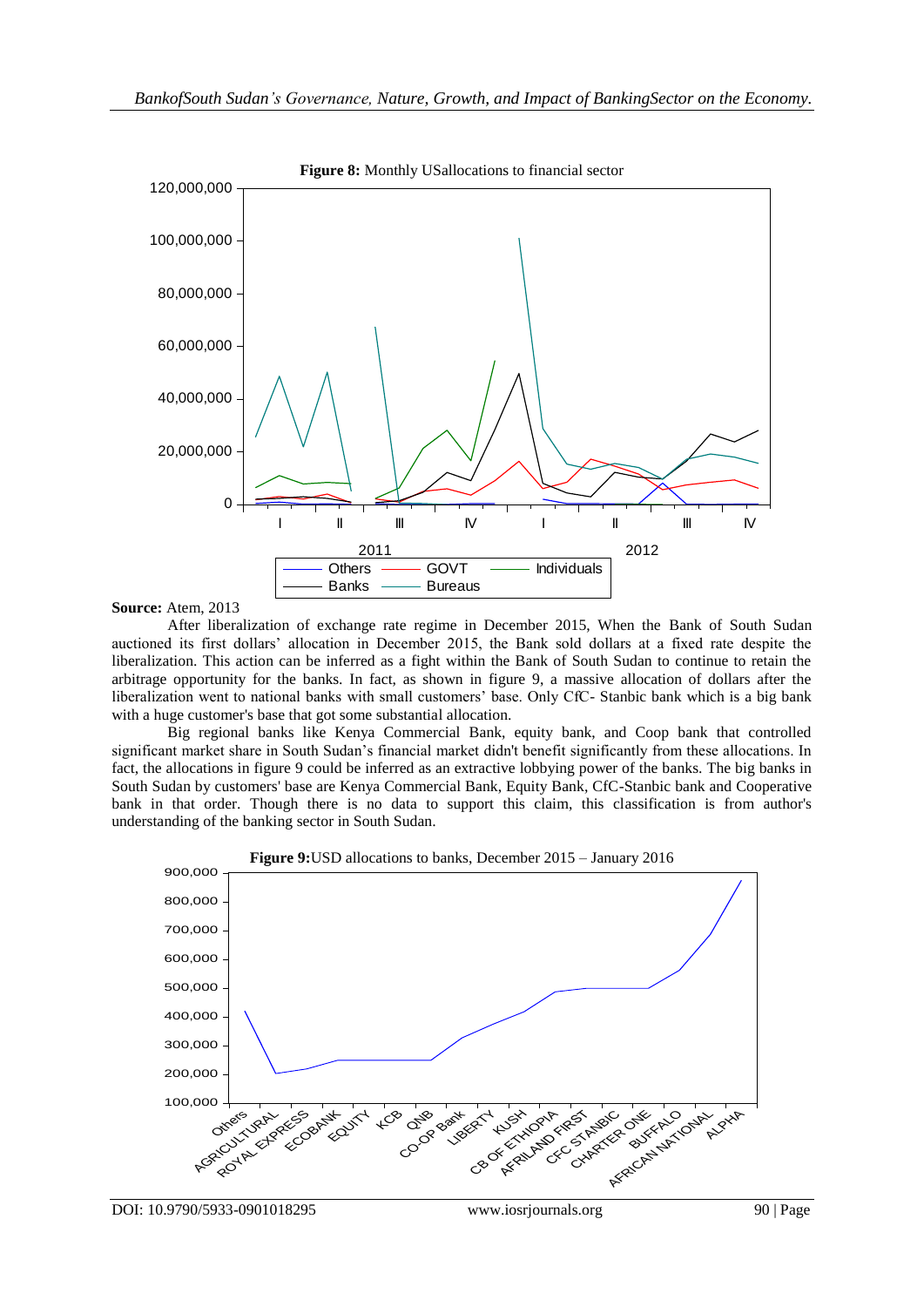

#### **Source:** Atem, 2013

After liberalization of exchange rate regime in December 2015, When the Bank of South Sudan auctioned its first dollars' allocation in December 2015, the Bank sold dollars at a fixed rate despite the liberalization. This action can be inferred as a fight within the Bank of South Sudan to continue to retain the arbitrage opportunity for the banks. In fact, as shown in figure 9, a massive allocation of dollars after the liberalization went to national banks with small customers' base. Only CfC- Stanbic bank which is a big bank with a huge customer's base that got some substantial allocation.

Big regional banks like Kenya Commercial Bank, equity bank, and Coop bank that controlled significant market share in South Sudan's financial market didn't benefit significantly from these allocations. In fact, the allocations in figure 9 could be inferred as an extractive lobbying power of the banks. The big banks in South Sudan by customers' base are Kenya Commercial Bank, Equity Bank, CfC-Stanbic bank and Cooperative bank in that order. Though there is no data to support this claim, this classification is from author's understanding of the banking sector in South Sudan.

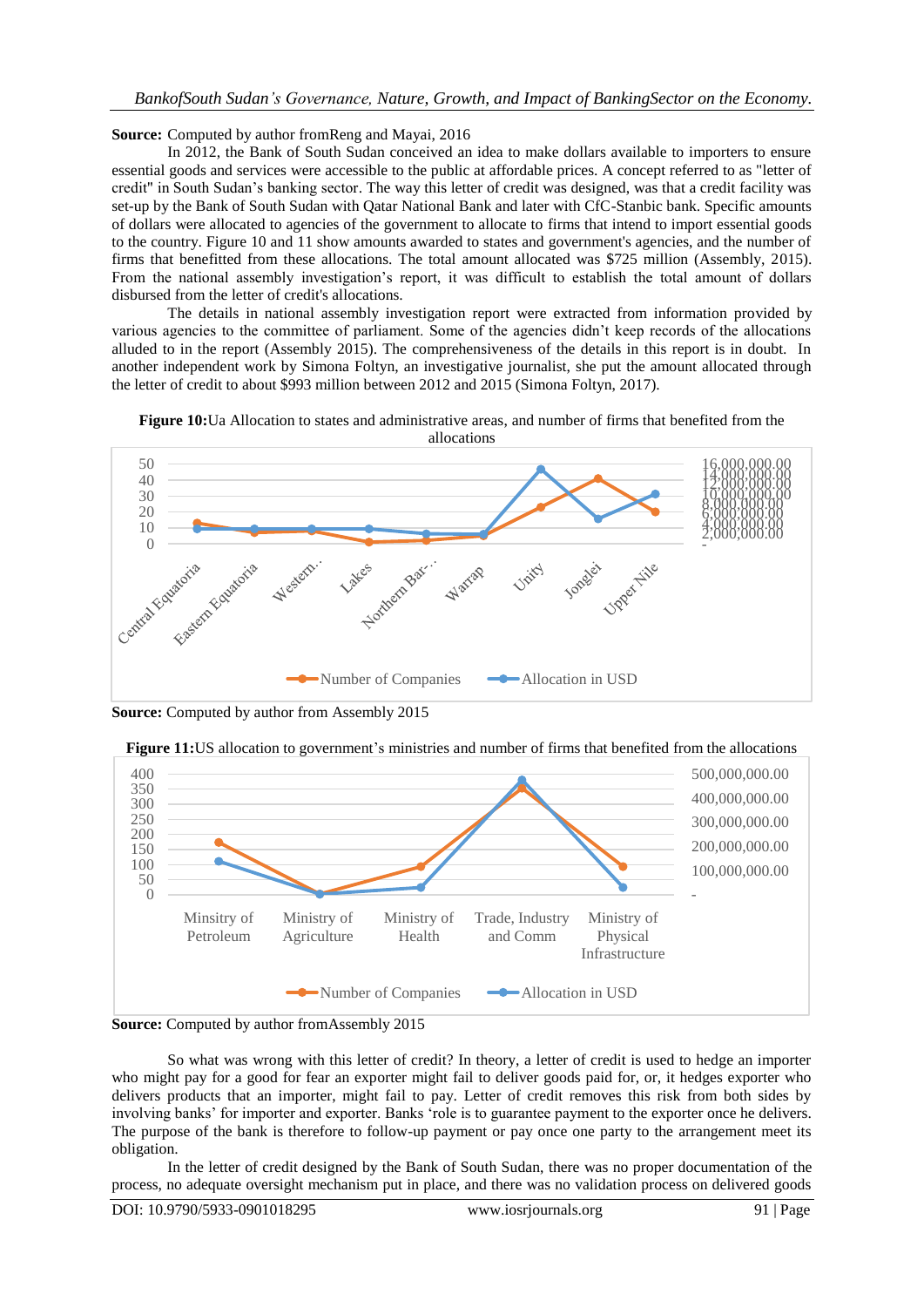**Source:** Computed by author fromReng and Mayai, 2016

In 2012, the Bank of South Sudan conceived an idea to make dollars available to importers to ensure essential goods and services were accessible to the public at affordable prices. A concept referred to as "letter of credit" in South Sudan's banking sector. The way this letter of credit was designed, was that a credit facility was set-up by the Bank of South Sudan with Qatar National Bank and later with CfC-Stanbic bank. Specific amounts of dollars were allocated to agencies of the government to allocate to firms that intend to import essential goods to the country. Figure 10 and 11 show amounts awarded to states and government's agencies, and the number of firms that benefitted from these allocations. The total amount allocated was \$725 million (Assembly, 2015). From the national assembly investigation's report, it was difficult to establish the total amount of dollars disbursed from the letter of credit's allocations.

The details in national assembly investigation report were extracted from information provided by various agencies to the committee of parliament. Some of the agencies didn't keep records of the allocations alluded to in the report (Assembly 2015). The comprehensiveness of the details in this report is in doubt. In another independent work by Simona Foltyn, an investigative journalist, she put the amount allocated through the letter of credit to about \$993 million between 2012 and 2015 (Simona Foltyn, 2017).



**Figure 10:**Ua Allocation to states and administrative areas, and number of firms that benefited from the allocations

**Source:** Computed by author from Assembly 2015







So what was wrong with this letter of credit? In theory, a letter of credit is used to hedge an importer who might pay for a good for fear an exporter might fail to deliver goods paid for, or, it hedges exporter who delivers products that an importer, might fail to pay. Letter of credit removes this risk from both sides by involving banks' for importer and exporter. Banks ‗role is to guarantee payment to the exporter once he delivers. The purpose of the bank is therefore to follow-up payment or pay once one party to the arrangement meet its obligation.

In the letter of credit designed by the Bank of South Sudan, there was no proper documentation of the process, no adequate oversight mechanism put in place, and there was no validation process on delivered goods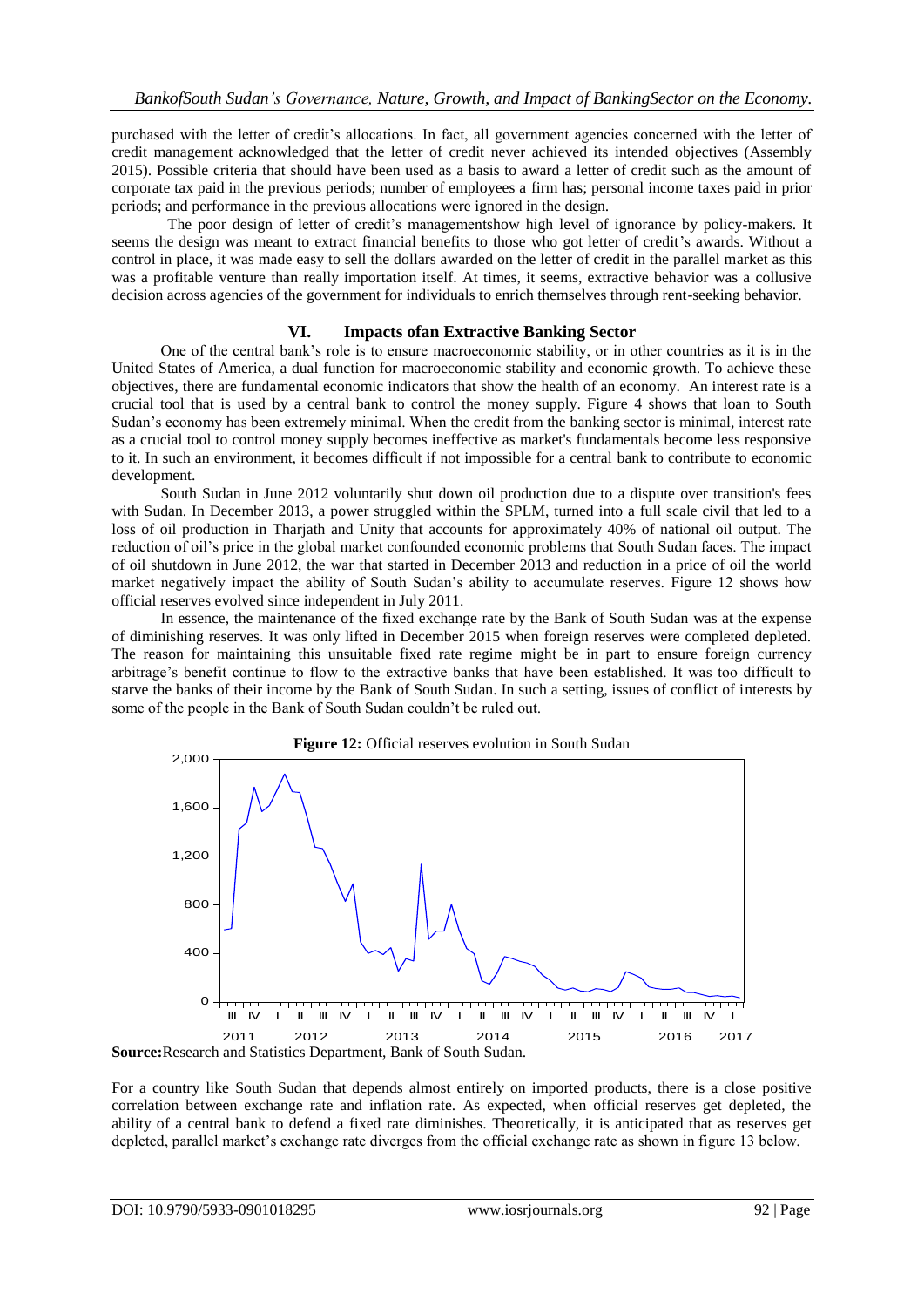purchased with the letter of credit's allocations. In fact, all government agencies concerned with the letter of credit management acknowledged that the letter of credit never achieved its intended objectives (Assembly 2015). Possible criteria that should have been used as a basis to award a letter of credit such as the amount of corporate tax paid in the previous periods; number of employees a firm has; personal income taxes paid in prior periods; and performance in the previous allocations were ignored in the design.

The poor design of letter of credit's managementshow high level of ignorance by policy-makers. It seems the design was meant to extract financial benefits to those who got letter of credit's awards. Without a control in place, it was made easy to sell the dollars awarded on the letter of credit in the parallel market as this was a profitable venture than really importation itself. At times, it seems, extractive behavior was a collusive decision across agencies of the government for individuals to enrich themselves through rent-seeking behavior.

### **VI. Impacts ofan Extractive Banking Sector**

One of the central bank's role is to ensure macroeconomic stability, or in other countries as it is in the United States of America, a dual function for macroeconomic stability and economic growth. To achieve these objectives, there are fundamental economic indicators that show the health of an economy. An interest rate is a crucial tool that is used by a central bank to control the money supply. Figure 4 shows that loan to South Sudan's economy has been extremely minimal. When the credit from the banking sector is minimal, interest rate as a crucial tool to control money supply becomes ineffective as market's fundamentals become less responsive to it. In such an environment, it becomes difficult if not impossible for a central bank to contribute to economic development.

South Sudan in June 2012 voluntarily shut down oil production due to a dispute over transition's fees with Sudan. In December 2013, a power struggled within the SPLM, turned into a full scale civil that led to a loss of oil production in Tharjath and Unity that accounts for approximately 40% of national oil output. The reduction of oil's price in the global market confounded economic problems that South Sudan faces. The impact of oil shutdown in June 2012, the war that started in December 2013 and reduction in a price of oil the world market negatively impact the ability of South Sudan's ability to accumulate reserves. Figure 12 shows how official reserves evolved since independent in July 2011.

In essence, the maintenance of the fixed exchange rate by the Bank of South Sudan was at the expense of diminishing reserves. It was only lifted in December 2015 when foreign reserves were completed depleted. The reason for maintaining this unsuitable fixed rate regime might be in part to ensure foreign currency arbitrage's benefit continue to flow to the extractive banks that have been established. It was too difficult to starve the banks of their income by the Bank of South Sudan. In such a setting, issues of conflict of interests by some of the people in the Bank of South Sudan couldn't be ruled out.



For a country like South Sudan that depends almost entirely on imported products, there is a close positive correlation between exchange rate and inflation rate. As expected, when official reserves get depleted, the ability of a central bank to defend a fixed rate diminishes. Theoretically, it is anticipated that as reserves get depleted, parallel market's exchange rate diverges from the official exchange rate as shown in figure 13 below.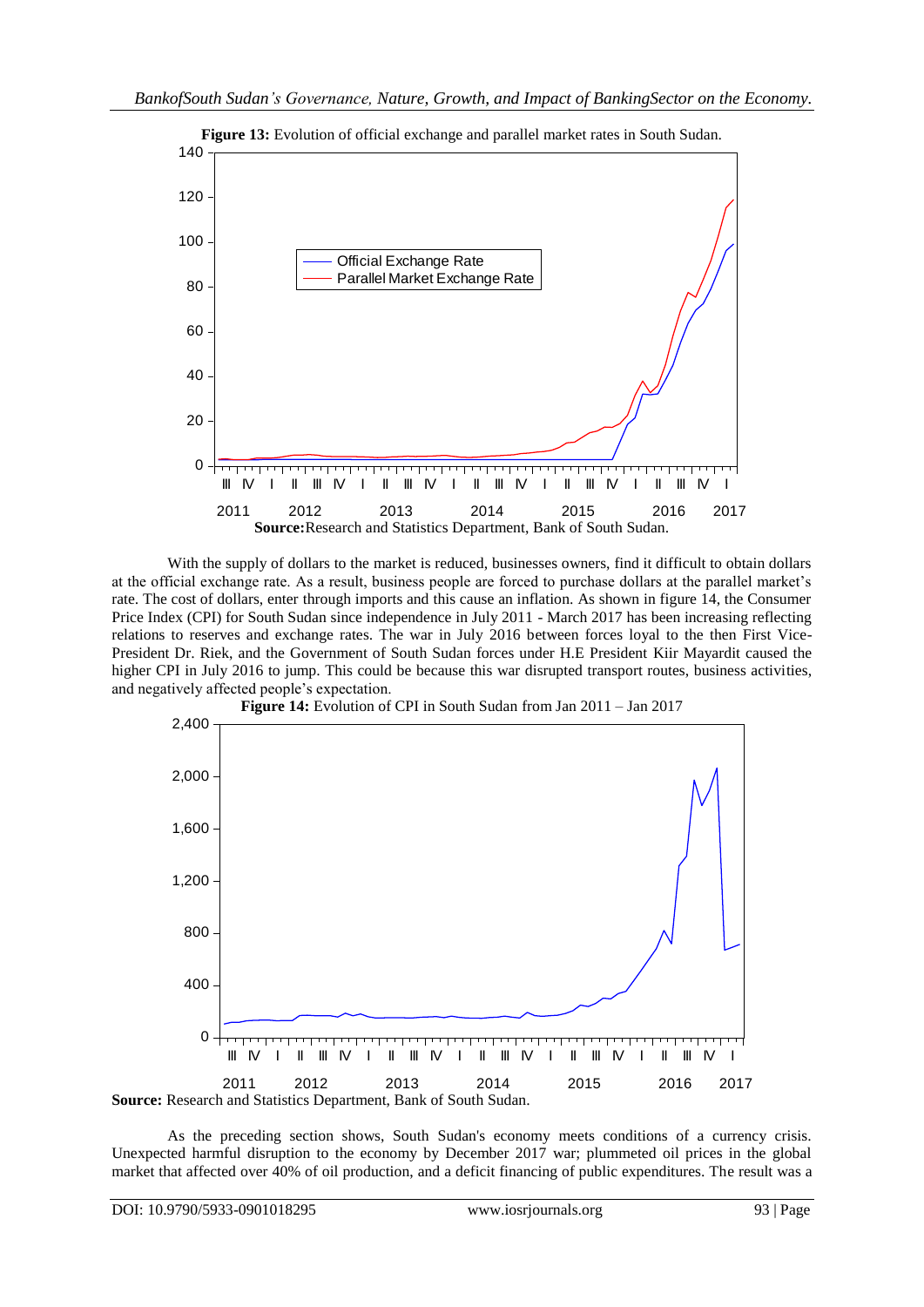

With the supply of dollars to the market is reduced, businesses owners, find it difficult to obtain dollars at the official exchange rate. As a result, business people are forced to purchase dollars at the parallel market's rate. The cost of dollars, enter through imports and this cause an inflation. As shown in figure 14, the Consumer Price Index (CPI) for South Sudan since independence in July 2011 - March 2017 has been increasing reflecting relations to reserves and exchange rates. The war in July 2016 between forces loyal to the then First Vice-President Dr. Riek, and the Government of South Sudan forces under H.E President Kiir Mayardit caused the higher CPI in July 2016 to jump. This could be because this war disrupted transport routes, business activities, and negatively affected people's expectation.



As the preceding section shows, South Sudan's economy meets conditions of a currency crisis. Unexpected harmful disruption to the economy by December 2017 war; plummeted oil prices in the global market that affected over 40% of oil production, and a deficit financing of public expenditures. The result was a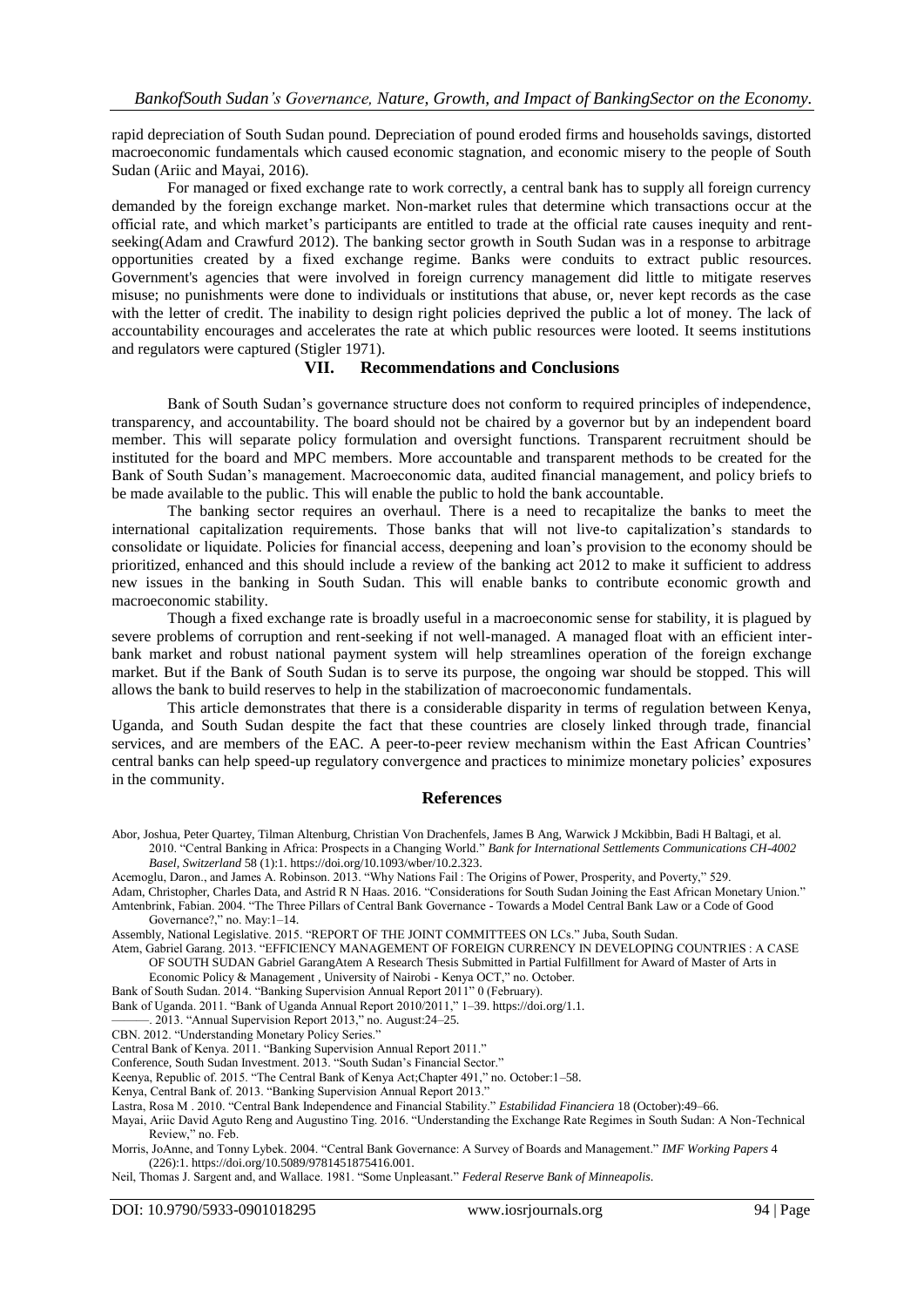rapid depreciation of South Sudan pound. Depreciation of pound eroded firms and households savings, distorted macroeconomic fundamentals which caused economic stagnation, and economic misery to the people of South Sudan (Ariic and Mayai, 2016).

For managed or fixed exchange rate to work correctly, a central bank has to supply all foreign currency demanded by the foreign exchange market. Non-market rules that determine which transactions occur at the official rate, and which market's participants are entitled to trade at the official rate causes inequity and rentseeking(Adam and Crawfurd 2012). The banking sector growth in South Sudan was in a response to arbitrage opportunities created by a fixed exchange regime. Banks were conduits to extract public resources. Government's agencies that were involved in foreign currency management did little to mitigate reserves misuse; no punishments were done to individuals or institutions that abuse, or, never kept records as the case with the letter of credit. The inability to design right policies deprived the public a lot of money. The lack of accountability encourages and accelerates the rate at which public resources were looted. It seems institutions and regulators were captured (Stigler 1971).

#### **VII. Recommendations and Conclusions**

Bank of South Sudan's governance structure does not conform to required principles of independence, transparency, and accountability. The board should not be chaired by a governor but by an independent board member. This will separate policy formulation and oversight functions. Transparent recruitment should be instituted for the board and MPC members. More accountable and transparent methods to be created for the Bank of South Sudan's management. Macroeconomic data, audited financial management, and policy briefs to be made available to the public. This will enable the public to hold the bank accountable.

The banking sector requires an overhaul. There is a need to recapitalize the banks to meet the international capitalization requirements. Those banks that will not live-to capitalization's standards to consolidate or liquidate. Policies for financial access, deepening and loan's provision to the economy should be prioritized, enhanced and this should include a review of the banking act 2012 to make it sufficient to address new issues in the banking in South Sudan. This will enable banks to contribute economic growth and macroeconomic stability.

Though a fixed exchange rate is broadly useful in a macroeconomic sense for stability, it is plagued by severe problems of corruption and rent-seeking if not well-managed. A managed float with an efficient interbank market and robust national payment system will help streamlines operation of the foreign exchange market. But if the Bank of South Sudan is to serve its purpose, the ongoing war should be stopped. This will allows the bank to build reserves to help in the stabilization of macroeconomic fundamentals.

This article demonstrates that there is a considerable disparity in terms of regulation between Kenya, Uganda, and South Sudan despite the fact that these countries are closely linked through trade, financial services, and are members of the EAC. A peer-to-peer review mechanism within the East African Countries' central banks can help speed-up regulatory convergence and practices to minimize monetary policies' exposures in the community.

#### **References**

- Abor, Joshua, Peter Quartey, Tilman Altenburg, Christian Von Drachenfels, James B Ang, Warwick J Mckibbin, Badi H Baltagi, et al. 2010. "Central Banking in Africa: Prospects in a Changing World." *Bank for International Settlements Communications CH-4002 Basel, Switzerland* 58 (1):1. https://doi.org/10.1093/wber/10.2.323.
- Acemoglu, Daron., and James A. Robinson. 2013. "Why Nations Fail : The Origins of Power, Prosperity, and Poverty," 529.
- Adam, Christopher, Charles Data, and Astrid R N Haas. 2016. "Considerations for South Sudan Joining the East African Monetary Union." Amtenbrink, Fabian. 2004. "The Three Pillars of Central Bank Governance - Towards a Model Central Bank Law or a Code of Good Governance?," no. May:1-14.

- Atem, Gabriel Garang. 2013. "EFFICIENCY MANAGEMENT OF FOREIGN CURRENCY IN DEVELOPING COUNTRIES : A CASE OF SOUTH SUDAN Gabriel GarangAtem A Research Thesis Submitted in Partial Fulfillment for Award of Master of Arts in Economic Policy & Management, University of Nairobi - Kenya OCT," no. October.
- Bank of South Sudan. 2014. "Banking Supervision Annual Report 2011" 0 (February).
- Bank of Uganda. 2011. "Bank of Uganda Annual Report 2010/2011," 1-39. https://doi.org/1.1.
- 2013. "Annual Supervision Report 2013," no. August:24–25.
- CBN. 2012. "Understanding Monetary Policy Series."
- Central Bank of Kenya. 2011. "Banking Supervision Annual Report 2011."
- Conference, South Sudan Investment. 2013. "South Sudan's Financial Sector."
- Keenya, Republic of. 2015. "The Central Bank of Kenya Act;Chapter 491," no. October:1–58.
- Kenya, Central Bank of. 2013. "Banking Supervision Annual Report 2013."
- Lastra, Rosa M . 2010. "Central Bank Independence and Financial Stability." *Estabilidad Financiera* 18 (October):49–66.
- Mayai, Ariic David Aguto Reng and Augustino Ting. 2016. "Understanding the Exchange Rate Regimes in South Sudan: A Non-Technical Review," no. Feb.
- Morris, JoAnne, and Tonny Lybek. 2004. "Central Bank Governance: A Survey of Boards and Management." *IMF Working Papers* 4 (226):1. https://doi.org/10.5089/9781451875416.001.
- Neil, Thomas J. Sargent and, and Wallace. 1981. "Some Unpleasant." Federal Reserve Bank of Minneapolis.

Assembly, National Legislative. 2015. "REPORT OF THE JOINT COMMITTEES ON LCs." Juba, South Sudan.